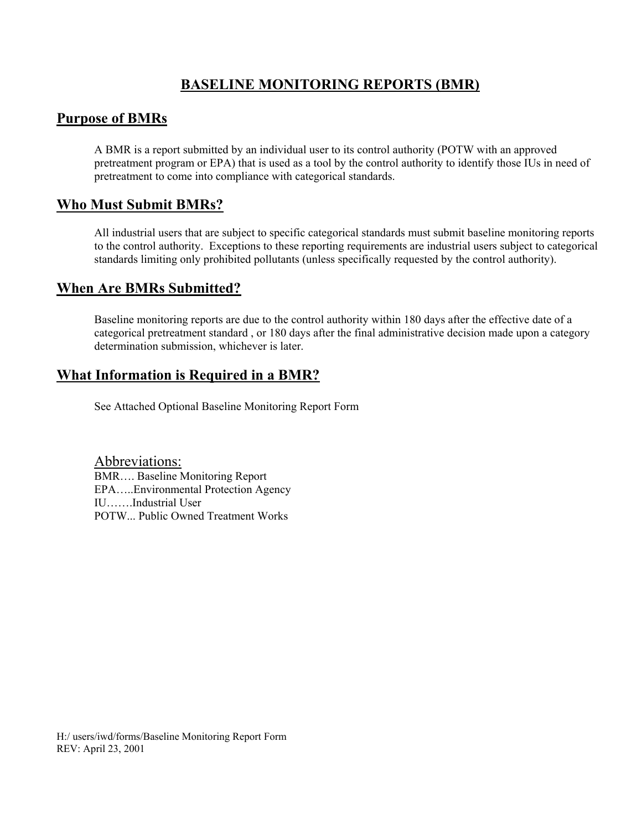# **BASELINE MONITORING REPORTS (BMR)**

# **Purpose of BMRs**

A BMR is a report submitted by an individual user to its control authority (POTW with an approved pretreatment program or EPA) that is used as a tool by the control authority to identify those IUs in need of pretreatment to come into compliance with categorical standards.

### **Who Must Submit BMRs?**

All industrial users that are subject to specific categorical standards must submit baseline monitoring reports to the control authority. Exceptions to these reporting requirements are industrial users subject to categorical standards limiting only prohibited pollutants (unless specifically requested by the control authority).

### **When Are BMRs Submitted?**

Baseline monitoring reports are due to the control authority within 180 days after the effective date of a categorical pretreatment standard , or 180 days after the final administrative decision made upon a category determination submission, whichever is later.

# **What Information is Required in a BMR?**

See Attached Optional Baseline Monitoring Report Form

Abbreviations: BMR…. Baseline Monitoring Report EPA…..Environmental Protection Agency IU…….Industrial User POTW... Public Owned Treatment Works

H:/ users/iwd/forms/Baseline Monitoring Report Form REV: April 23, 2001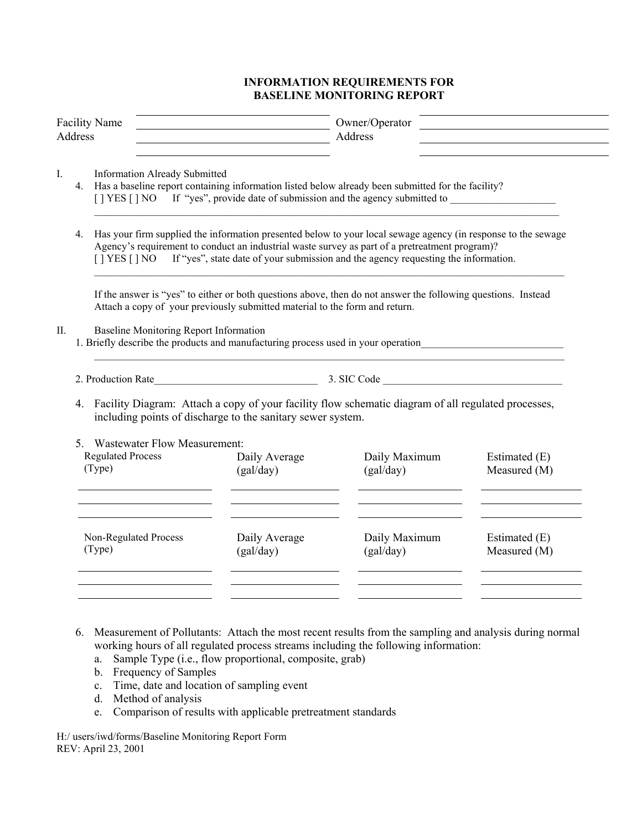### **INFORMATION REQUIREMENTS FOR BASELINE MONITORING REPORT**

| <b>Facility Name</b><br><b>Address</b>                                                                                                                                                                                                                              |                                                                                                                                    |                                                                                                                                                                                                                                                                                                                                       |                            | Owner/Operator<br>Address                                                                                                                                                                                 |                               |  |
|---------------------------------------------------------------------------------------------------------------------------------------------------------------------------------------------------------------------------------------------------------------------|------------------------------------------------------------------------------------------------------------------------------------|---------------------------------------------------------------------------------------------------------------------------------------------------------------------------------------------------------------------------------------------------------------------------------------------------------------------------------------|----------------------------|-----------------------------------------------------------------------------------------------------------------------------------------------------------------------------------------------------------|-------------------------------|--|
| $I_{\cdot}$<br><b>Information Already Submitted</b><br>4. Has a baseline report containing information listed below already been submitted for the facility?<br>[] YES [] NO If "yes", provide date of submission and the agency submitted to _____________________ |                                                                                                                                    |                                                                                                                                                                                                                                                                                                                                       |                            |                                                                                                                                                                                                           |                               |  |
|                                                                                                                                                                                                                                                                     | 4.                                                                                                                                 | Has your firm supplied the information presented below to your local sewage agency (in response to the sewage<br>Agency's requirement to conduct an industrial waste survey as part of a pretreatment program)?<br>If "yes", state date of your submission and the agency requesting the information.<br>$\lceil$   YES $\lceil$   NO |                            |                                                                                                                                                                                                           |                               |  |
|                                                                                                                                                                                                                                                                     |                                                                                                                                    | If the answer is "yes" to either or both questions above, then do not answer the following questions. Instead<br>Attach a copy of your previously submitted material to the form and return.                                                                                                                                          |                            |                                                                                                                                                                                                           |                               |  |
| П.                                                                                                                                                                                                                                                                  | <b>Baseline Monitoring Report Information</b><br>1. Briefly describe the products and manufacturing process used in your operation |                                                                                                                                                                                                                                                                                                                                       |                            |                                                                                                                                                                                                           |                               |  |
|                                                                                                                                                                                                                                                                     |                                                                                                                                    |                                                                                                                                                                                                                                                                                                                                       |                            | 2. Production Rate 2. Production Rate 2. Production Rate  2. Production Rate  2. Production Rate  2. Production Rate   2. Production Rate   2. Production Rate   2. Production Rate    2. Production Rate |                               |  |
|                                                                                                                                                                                                                                                                     | 4.                                                                                                                                 | Facility Diagram: Attach a copy of your facility flow schematic diagram of all regulated processes,<br>including points of discharge to the sanitary sewer system.                                                                                                                                                                    |                            |                                                                                                                                                                                                           |                               |  |
|                                                                                                                                                                                                                                                                     |                                                                                                                                    | 5. Wastewater Flow Measurement:                                                                                                                                                                                                                                                                                                       |                            |                                                                                                                                                                                                           |                               |  |
|                                                                                                                                                                                                                                                                     | <b>Regulated Process</b><br>(Type)                                                                                                 |                                                                                                                                                                                                                                                                                                                                       | Daily Average<br>(gal/day) | Daily Maximum<br>(gal/day)                                                                                                                                                                                | Estimated (E)<br>Measured (M) |  |
|                                                                                                                                                                                                                                                                     | (Type)                                                                                                                             | the control of the control of the control of the control of the control of<br>Non-Regulated Process                                                                                                                                                                                                                                   | Daily Average<br>(gal/day) | Daily Maximum<br>(gal/day)                                                                                                                                                                                | Estimated (E)<br>Measured (M) |  |
|                                                                                                                                                                                                                                                                     |                                                                                                                                    |                                                                                                                                                                                                                                                                                                                                       |                            |                                                                                                                                                                                                           |                               |  |

- 6. Measurement of Pollutants: Attach the most recent results from the sampling and analysis during normal working hours of all regulated process streams including the following information:
	- a. Sample Type (i.e., flow proportional, composite, grab)
	- b. Frequency of Samples
	- c. Time, date and location of sampling event
	- d. Method of analysis
	- e. Comparison of results with applicable pretreatment standards

H:/ users/iwd/forms/Baseline Monitoring Report Form REV: April 23, 2001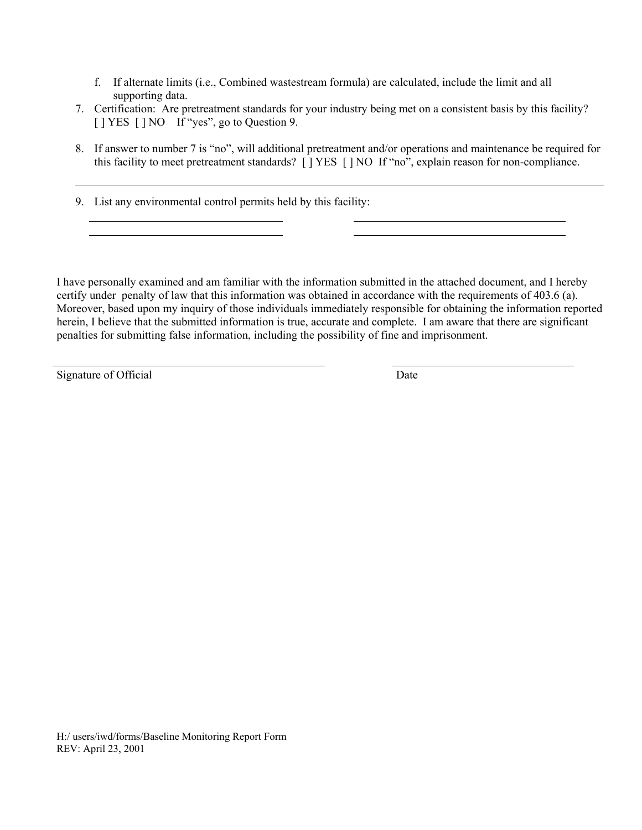- f. If alternate limits (i.e., Combined wastestream formula) are calculated, include the limit and all supporting data.
- 7. Certification: Are pretreatment standards for your industry being met on a consistent basis by this facility? [ ] YES [ ] NO If "yes", go to Question 9.
- 8. If answer to number 7 is "no", will additional pretreatment and/or operations and maintenance be required for this facility to meet pretreatment standards? [ ] YES [ ] NO If "no", explain reason for non-compliance.
- 9. List any environmental control permits held by this facility:

I have personally examined and am familiar with the information submitted in the attached document, and I hereby certify under penalty of law that this information was obtained in accordance with the requirements of 403.6 (a). Moreover, based upon my inquiry of those individuals immediately responsible for obtaining the information reported herein, I believe that the submitted information is true, accurate and complete. I am aware that there are significant penalties for submitting false information, including the possibility of fine and imprisonment.

Signature of Official Date